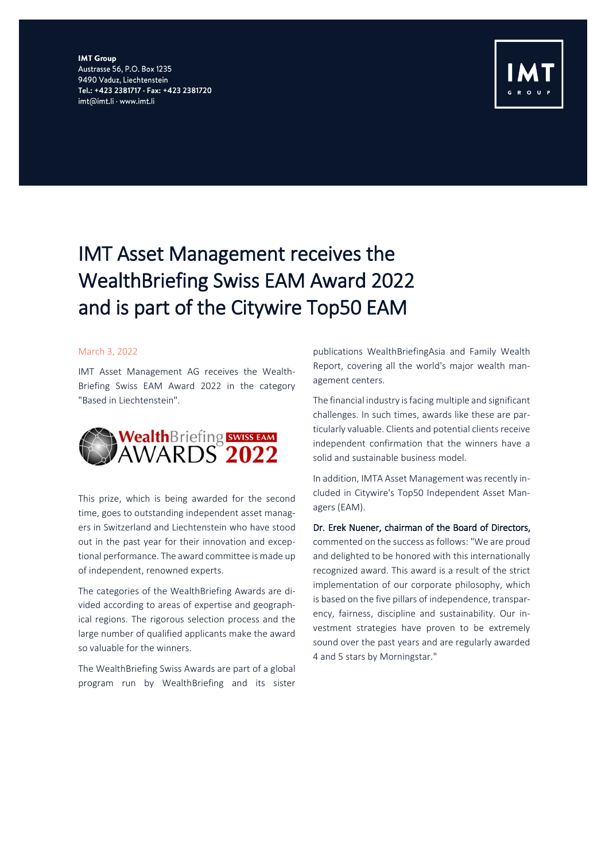**IMT Group** Austrasse 56, P.O. Box 1235 9490 Vaduz, Liechtenstein Tel.: +423 2381717 · Fax: +423 2381720 imt@imt.li · www.imt.li



## IMT Asset Management receives the WealthBriefing Swiss EAM Award 2022 and is part of the Citywire Top50 EAM

## March 3, 2022

IMT Asset Management AG receives the Wealth-Briefing Swiss EAM Award 2022 in the category "Based in Liechtenstein".



This prize, which is being awarded for the second time, goes to outstanding independent asset managers in Switzerland and Liechtenstein who have stood out in the past year for their innovation and exceptional performance. The award committee is made up of independent, renowned experts.

The categories of the WealthBriefing Awards are divided according to areas of expertise and geographical regions. The rigorous selection process and the large number of qualified applicants make the award so valuable for the winners.

The WealthBriefing Swiss Awards are part of a global program run by WealthBriefing and its sister

publications WealthBriefingAsia and Family Wealth Report, covering all the world's major wealth management centers.

The financial industry is facing multiple and significant challenges. In such times, awards like these are particularly valuable. Clients and potential clients receive independent confirmation that the winners have a solid and sustainable business model.

In addition, IMTA Asset Management was recently included in Citywire's Top50 Independent Asset Managers (EAM).

Dr. Erek Nuener, chairman of the Board of Directors, commented on the success as follows: "We are proud and delighted to be honored with this internationally recognized award. This award is a result of the strict implementation of our corporate philosophy, which is based on the five pillars of independence, transparency, fairness, discipline and sustainability. Our investment strategies have proven to be extremely sound over the past years and are regularly awarded 4 and 5 stars by Morningstar."